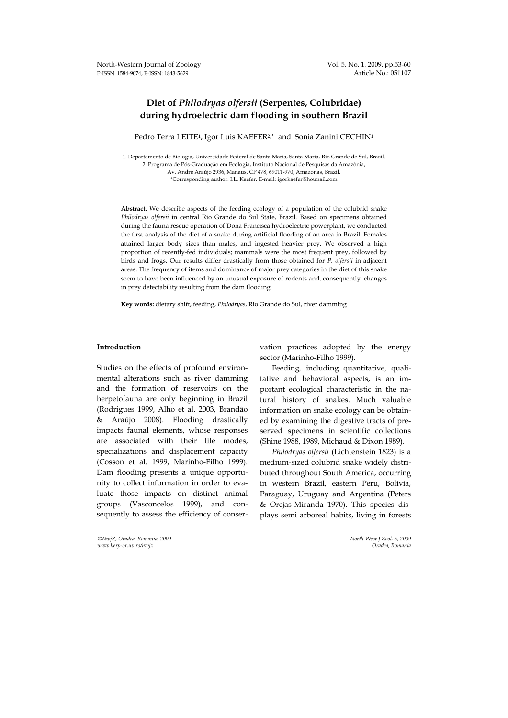# **Diet of** *Philodryas olfersii* **(Serpentes, Colubridae) during hydroelectric dam flooding in southern Brazil**

Pedro Terra LEITE<sup>1</sup>, Igor Luis KAEFER<sup>2,\*</sup> and Sonia Zanini CECHIN<sup>1</sup>

1. Departamento de Biologia, Universidade Federal de Santa Maria, Santa Maria, Rio Grande do Sul, Brazil. 2. Programa de Pós-Graduação em Ecologia, Instituto Nacional de Pesquisas da Amazônia, Av. André Araújo 2936, Manaus, CP 478, 69011-970, Amazonas, Brazil. \*Corresponding author: I.L. Kaefer, E-mail: igorkaefer@hotmail.com

**Abstract.** We describe aspects of the feeding ecology of a population of the colubrid snake *Philodryas olfersii* in central Rio Grande do Sul State, Brazil. Based on specimens obtained during the fauna rescue operation of Dona Francisca hydroelectric powerplant, we conducted the first analysis of the diet of a snake during artificial flooding of an area in Brazil. Females attained larger body sizes than males, and ingested heavier prey. We observed a high proportion of recently-fed individuals; mammals were the most frequent prey, followed by birds and frogs. Our results differ drastically from those obtained for *P. olfersii* in adjacent areas. The frequency of items and dominance of major prey categories in the diet of this snake seem to have been influenced by an unusual exposure of rodents and, consequently, changes in prey detectability resulting from the dam flooding.

**Key words:** dietary shift, feeding, *Philodryas*, Rio Grande do Sul, river damming

# **Introduction**

Studies on the effects of profound environmental alterations such as river damming and the formation of reservoirs on the herpetofauna are only beginning in Brazil (Rodrigues 1999, Alho et al. 2003, Brandão & Araújo 2008). Flooding drastically impacts faunal elements, whose responses are associated with their life modes, specializations and displacement capacity (Cosson et al. 1999, Marinho-Filho 1999). Dam flooding presents a unique opportunity to collect information in order to evaluate those impacts on distinct animal groups (Vasconcelos 1999), and consequently to assess the efficiency of conser-

*©NwjZ, Oradea, Romania, 2009 North-West J Zool, 5, 2009*   $www.herp-or.uv.ro/nwiz$ 

vation practices adopted by the energy sector (Marinho-Filho 1999).

Feeding, including quantitative, qualitative and behavioral aspects, is an important ecological characteristic in the natural history of snakes. Much valuable information on snake ecology can be obtained by examining the digestive tracts of preserved specimens in scientific collections (Shine 1988, 1989, Michaud & Dixon 1989).

*Philodryas olfersii* (Lichtenstein 1823) is a medium-sized colubrid snake widely distributed throughout South America, occurring in western Brazil, eastern Peru, Bolivia, Paraguay, Uruguay and Argentina (Peters & Orejas**-**Miranda 1970). This species displays semi arboreal habits, living in forests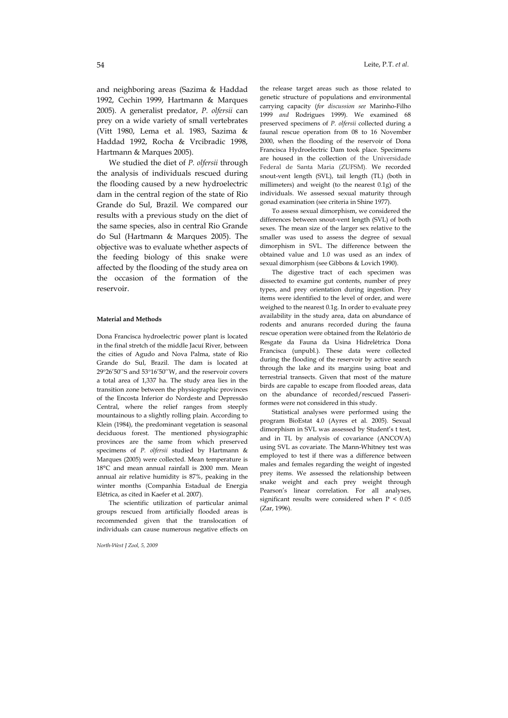and neighboring areas (Sazima & Haddad 1992, Cechin 1999, Hartmann & Marques 2005). A generalist predator, *P. olfersii* can prey on a wide variety of small vertebrates (Vitt 1980, Lema et al. 1983, Sazima & Haddad 1992, Rocha & Vrcibradic 1998, Hartmann & Marques 2005).

We studied the diet of *P. olfersii* through the analysis of individuals rescued during the flooding caused by a new hydroelectric dam in the central region of the state of Rio Grande do Sul, Brazil. We compared our results with a previous study on the diet of the same species, also in central Rio Grande do Sul (Hartmann & Marques 2005). The objective was to evaluate whether aspects of the feeding biology of this snake were affected by the flooding of the study area on the occasion of the formation of the reservoir.

### **Material and Methods**

Dona Francisca hydroelectric power plant is located in the final stretch of the middle Jacuí River, between the cities of Agudo and Nova Palma, state of Rio Grande do Sul, Brazil. The dam is located at 29°26'50''S and 53°16'50''W, and the reservoir covers a total area of 1,337 ha. The study area lies in the transition zone between the physiographic provinces of the Encosta Inferior do Nordeste and Depressão Central, where the relief ranges from steeply mountainous to a slightly rolling plain. According to Klein (1984), the predominant vegetation is seasonal deciduous forest. The mentioned physiographic provinces are the same from which preserved specimens of *P. olfersii* studied by Hartmann & Marques (2005) were collected. Mean temperature is 18°C and mean annual rainfall is 2000 mm. Mean annual air relative humidity is 87%, peaking in the winter months (Companhia Estadual de Energia Elétrica, as cited in Kaefer et al. 2007).

The scientific utilization of particular animal groups rescued from artificially flooded areas is recommended given that the translocation of individuals can cause numerous negative effects on

*North-West J Zool, 5, 2009*

the release target areas such as those related to genetic structure of populations and environmental carrying capacity (*for discussion see* Marinho-Filho 1999 *and* Rodrigues 1999). We examined 68 preserved specimens of *P. olfersii* collected during a faunal rescue operation from 08 to 16 November 2000, when the flooding of the reservoir of Dona Francisca Hydroelectric Dam took place. Specimens are housed in the collection of the Universidade Federal de Santa Maria (ZUFSM). We recorded snout-vent length (SVL), tail length (TL) (both in millimeters) and weight (to the nearest 0.1g) of the individuals. We assessed sexual maturity through gonad examination (see criteria in Shine 1977).

To assess sexual dimorphism, we considered the differences between snout-vent length (SVL) of both sexes. The mean size of the larger sex relative to the smaller was used to assess the degree of sexual dimorphism in SVL. The difference between the obtained value and 1.0 was used as an index of sexual dimorphism (see Gibbons & Lovich 1990).

The digestive tract of each specimen was dissected to examine gut contents, number of prey types, and prey orientation during ingestion. Prey items were identified to the level of order, and were weighed to the nearest 0.1g. In order to evaluate prey availability in the study area, data on abundance of rodents and anurans recorded during the fauna rescue operation were obtained from the Relatório de Resgate da Fauna da Usina Hidrelétrica Dona Francisca (unpubl.). These data were collected during the flooding of the reservoir by active search through the lake and its margins using boat and terrestrial transects. Given that most of the mature birds are capable to escape from flooded areas, data on the abundance of recorded/rescued Passeriformes were not considered in this study.

Statistical analyses were performed using the program BioEstat 4.0 (Ayres et al. 2005). Sexual dimorphism in SVL was assessed by Student's t test, and in TL by analysis of covariance (ANCOVA) using SVL as covariate. The Mann-Whitney test was employed to test if there was a difference between males and females regarding the weight of ingested prey items. We assessed the relationship between snake weight and each prey weight through Pearson's linear correlation. For all analyses, significant results were considered when P < 0.05 (Zar, 1996).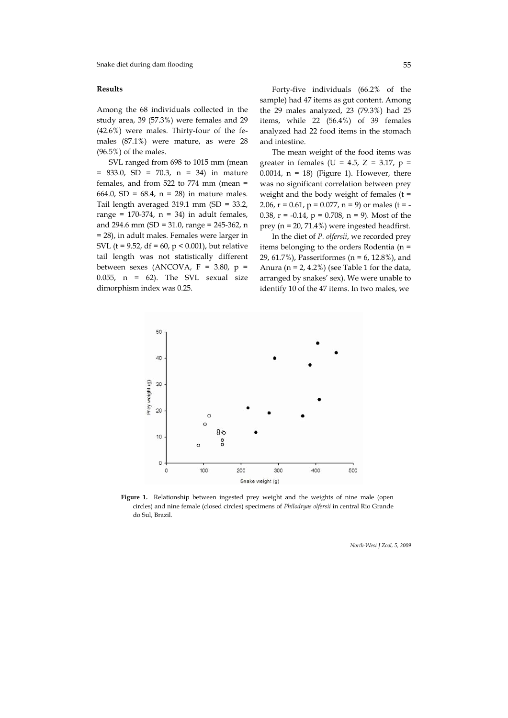Among the 68 individuals collected in the study area, 39 (57.3%) were females and 29 (42.6%) were males. Thirty-four of the females (87.1%) were mature, as were 28 (96.5%) of the males. The mean weight of the food items was

SVL ranged from 698 to 1015 mm (mean = 833.0, SD = 70.3, n = 34) in mature females, and from 522 to 774 mm (mean = 664.0, SD = 68.4,  $n = 28$ ) in mature males. Tail length averaged 319.1 mm (SD = 33.2, range =  $170-374$ , n = 34) in adult females, and 294.6 mm (SD = 31.0, range = 245-362, n = 28), in adult males. Females were larger in SVL ( $t = 9.52$ ,  $df = 60$ ,  $p < 0.001$ ), but relative tail length was not statistically different between sexes (ANCOVA,  $F = 3.80$ ,  $p =$ 0.055, n = 62). The SVL sexual size dimorphism index was 0.25.

**Results** Forty-five individuals (66.2% of the sample) had 47 items as gut content. Among the 29 males analyzed, 23 (79.3%) had 25 items, while 22 (56.4%) of 39 females analyzed had 22 food items in the stomach and intestine.

> greater in females (U = 4.5, Z = 3.17,  $p =$ 0.0014,  $n = 18$ ) (Figure 1). However, there was no significant correlation between prey weight and the body weight of females (t = 2.06,  $r = 0.61$ ,  $p = 0.077$ ,  $n = 9$ ) or males (t = -0.38, r = -0.14, p = 0.708, n = 9)*.* Most of the prey (n = 20, 71.4%) were ingested headfirst.

> In the diet of *P. olfersii*, we recorded prey items belonging to the orders Rodentia (n = 29, 61.7%), Passeriformes (n = 6, 12.8%), and Anura ( $n = 2, 4.2\%$ ) (see Table 1 for the data, arranged by snakes' sex). We were unable to identify 10 of the 47 items. In two males, we



Figure 1. Relationship between ingested prey weight and the weights of nine male (open circles) and nine female (closed circles) specimens of *Philodryas olfersii* in central Rio Grande do Sul, Brazil.

*North-West J Zool, 5, 2009*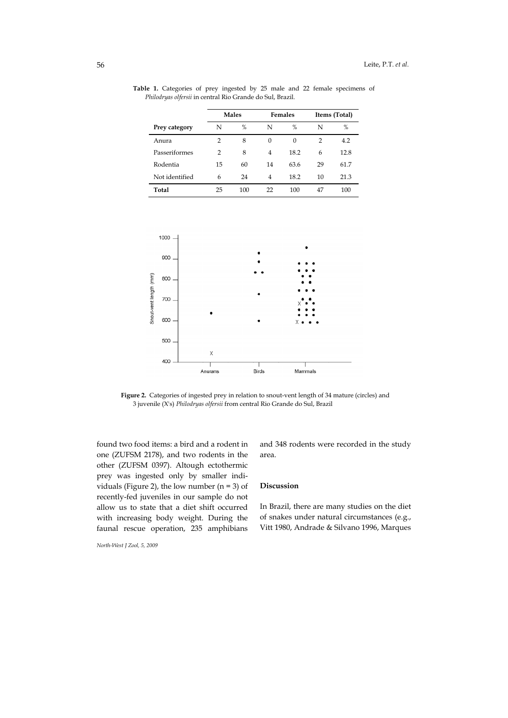|                | <b>Males</b> |     | Females  |          | Items (Total) |      |
|----------------|--------------|-----|----------|----------|---------------|------|
| Prey category  | N            | %   | N        | %        | N             | %    |
| Anura          | 2            | 8   | $\Omega$ | $\Omega$ | 2             | 4.2  |
| Passeriformes  | 2            | 8   | 4        | 18.2     | 6             | 12.8 |
| Rodentia       | 15           | 60  | 14       | 63.6     | 29            | 61.7 |
| Not identified | 6            | 24  | 4        | 18.2     | 10            | 21.3 |
| Total          | 25           | 100 | 22       | 100      | 47            | 100  |

Table 1. Categories of prey ingested by 25 male and 22 female specimens of *Philodryas olfersii* in central Rio Grande do Sul, Brazil.



**Figure 2.** Categories of ingested prey in relation to snout-vent length of 34 mature (circles) and 3 juvenile (X's) *Philodryas olfersii* from central Rio Grande do Sul, Brazil

found two food items: a bird and a rodent in one (ZUFSM 2178), and two rodents in the other (ZUFSM 0397). Altough ectothermic prey was ingested only by smaller individuals (Figure 2), the low number ( $n = 3$ ) of recently-fed juveniles in our sample do not allow us to state that a diet shift occurred with increasing body weight. During the faunal rescue operation, 235 amphibians

*North-West J Zool, 5, 2009*

and 348 rodents were recorded in the study area.

# **Discussion**

In Brazil, there are many studies on the diet of snakes under natural circumstances (e.g., Vitt 1980, Andrade & Silvano 1996, Marques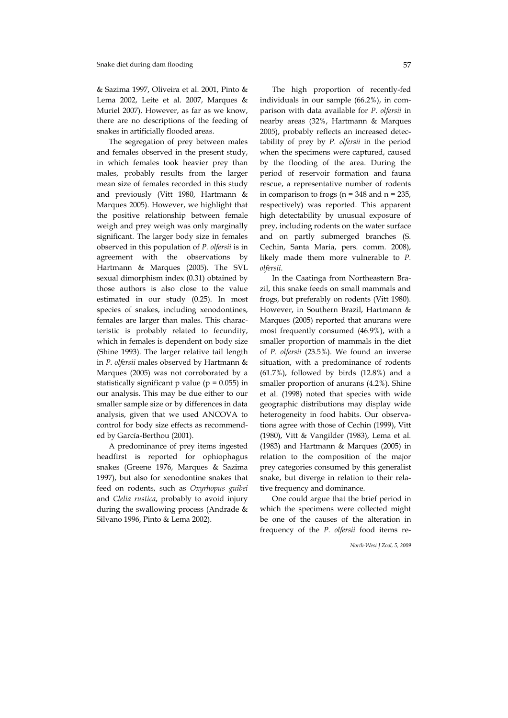& Sazima 1997, Oliveira et al. 2001, Pinto & Lema 2002, Leite et al. 2007, Marques & Muriel 2007). However, as far as we know, there are no descriptions of the feeding of snakes in artificially flooded areas.

The segregation of prey between males and females observed in the present study, in which females took heavier prey than males, probably results from the larger mean size of females recorded in this study and previously (Vitt 1980, Hartmann & Marques 2005). However, we highlight that the positive relationship between female weigh and prey weigh was only marginally significant. The larger body size in females observed in this population of *P. olfersii* is in agreement with the observations by Hartmann & Marques (2005). The SVL sexual dimorphism index (0.31) obtained by those authors is also close to the value estimated in our study (0.25). In most species of snakes, including xenodontines, females are larger than males. This characteristic is probably related to fecundity, which in females is dependent on body size (Shine 1993). The larger relative tail length in *P. olfersii* males observed by Hartmann & Marques (2005) was not corroborated by a statistically significant p value ( $p = 0.055$ ) in our analysis. This may be due either to our smaller sample size or by differences in data analysis, given that we used ANCOVA to control for body size effects as recommended by García-Berthou (2001).

A predominance of prey items ingested headfirst is reported for ophiophagus snakes (Greene 1976, Marques & Sazima 1997), but also for xenodontine snakes that feed on rodents, such as *Oxyrhopus guibei*  and *Clelia rustica*, probably to avoid injury during the swallowing process (Andrade & Silvano 1996, Pinto & Lema 2002).

The high proportion of recently-fed individuals in our sample (66.2%), in comparison with data available for *P. olfersii* in nearby areas (32%, Hartmann & Marques 2005), probably reflects an increased detectability of prey by *P. olfersii* in the period when the specimens were captured, caused by the flooding of the area. During the period of reservoir formation and fauna rescue, a representative number of rodents in comparison to frogs ( $n = 348$  and  $n = 235$ , respectively) was reported. This apparent high detectability by unusual exposure of prey, including rodents on the water surface and on partly submerged branches (S. Cechin, Santa Maria, pers. comm. 2008), likely made them more vulnerable to *P. olfersii*.

In the Caatinga from Northeastern Brazil, this snake feeds on small mammals and frogs, but preferably on rodents (Vitt 1980). However, in Southern Brazil, Hartmann & Marques (2005) reported that anurans were most frequently consumed (46.9%), with a smaller proportion of mammals in the diet of *P. olfersii* (23.5%). We found an inverse situation, with a predominance of rodents  $(61.7%)$ , followed by birds  $(12.8%)$  and a smaller proportion of anurans (4.2%). Shine et al. (1998) noted that species with wide geographic distributions may display wide heterogeneity in food habits. Our observations agree with those of Cechin (1999), Vitt (1980), Vitt & Vangilder (1983), Lema et al. (1983) and Hartmann & Marques (2005) in relation to the composition of the major prey categories consumed by this generalist snake, but diverge in relation to their relative frequency and dominance.

One could argue that the brief period in which the specimens were collected might be one of the causes of the alteration in frequency of the *P. olfersii* food items re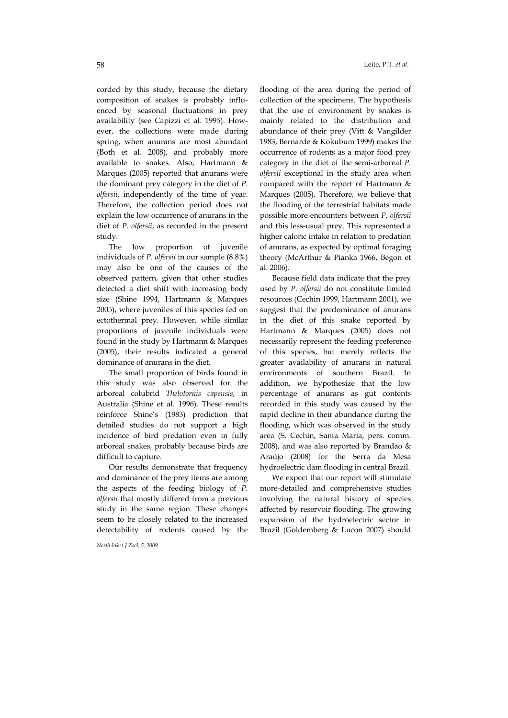corded by this study, because the dietary composition of snakes is probably influenced by seasonal fluctuations in prey availability (see Capizzi et al. 1995). However, the collections were made during spring, when anurans are most abundant (Both et al. 2008), and probably more available to snakes. Also, Hartmann & Marques (2005) reported that anurans were the dominant prey category in the diet of *P. olfersii*, independently of the time of year. Therefore, the collection period does not explain the low occurrence of anurans in the diet of *P. olfersii*, as recorded in the present study.

The low proportion of juvenile individuals of *P. olfersii* in our sample (8.8%) may also be one of the causes of the observed pattern, given that other studies detected a diet shift with increasing body size (Shine 1994, Hartmann & Marques 2005), where juveniles of this species fed on ectothermal prey. However, while similar proportions of juvenile individuals were found in the study by Hartmann & Marques (2005), their results indicated a general dominance of anurans in the diet.

The small proportion of birds found in this study was also observed for the arboreal colubrid *Thelotornis capensis*, in Australia (Shine et al. 1996). These results reinforce Shine's (1983) prediction that detailed studies do not support a high incidence of bird predation even in fully arboreal snakes, probably because birds are difficult to capture.

Our results demonstrate that frequency and dominance of the prey items are among the aspects of the feeding biology of *P. olfersii* that mostly differed from a previous study in the same region. These changes seem to be closely related to the increased detectability of rodents caused by the

*North-West J Zool, 5, 2009*

58 Leite, P.T. *et al.*

flooding of the area during the period of collection of the specimens. The hypothesis that the use of environment by snakes is mainly related to the distribution and abundance of their prey (Vitt & Vangilder 1983, Bernarde & Kokubum 1999) makes the occurrence of rodents as a major food prey category in the diet of the semi-arboreal *P. olfersii* exceptional in the study area when compared with the report of Hartmann & Marques (2005). Therefore, we believe that the flooding of the terrestrial habitats made possible more encounters between *P. olfersii* and this less-usual prey. This represented a higher caloric intake in relation to predation of anurans, as expected by optimal foraging theory (McArthur & Pianka 1966, Begon et al. 2006).

Because field data indicate that the prey used by *P. olfersii* do not constitute limited resources (Cechin 1999, Hartmann 2001), we suggest that the predominance of anurans in the diet of this snake reported by Hartmann & Marques (2005) does not necessarily represent the feeding preference of this species, but merely reflects the greater availability of anurans in natural environments of southern Brazil. In addition, we hypothesize that the low percentage of anurans as gut contents recorded in this study was caused by the rapid decline in their abundance during the flooding, which was observed in the study area (S. Cechin, Santa Maria, pers. comm. 2008), and was also reported by Brandão & Araújo (2008) for the Serra da Mesa hydroelectric dam flooding in central Brazil.

We expect that our report will stimulate more-detailed and comprehensive studies involving the natural history of species affected by reservoir flooding. The growing expansion of the hydroelectric sector in Brazil (Goldemberg & Lucon 2007) should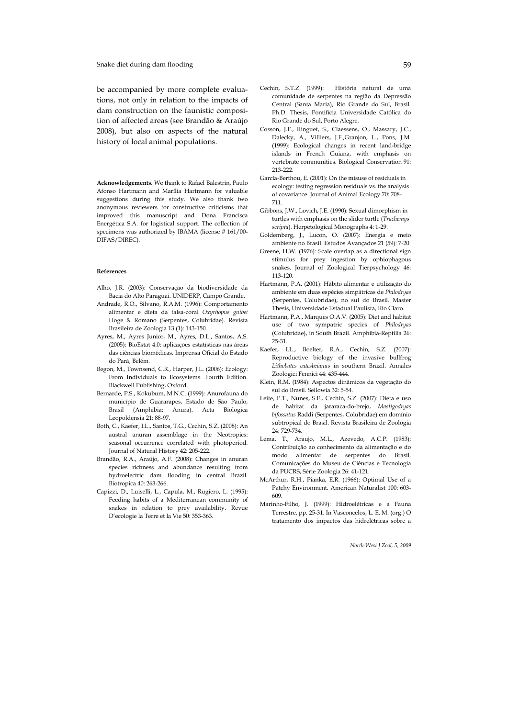be accompanied by more complete evaluations, not only in relation to the impacts of dam construction on the faunistic composition of affected areas (see Brandão & Araújo 2008), but also on aspects of the natural history of local animal populations.

**Acknowledgements.** We thank to Rafael Balestrin, Paulo Afonso Hartmann and Marília Hartmann for valuable suggestions during this study. We also thank two anonymous reviewers for constructive criticisms that improved this manuscript and Dona Francisca Energética S.A. for logistical support. The collection of specimens was authorized by IBAMA (license # 161/00- DIFAS/DIREC).

### **References**

- Alho, J.R. (2003): Conservação da biodiversidade da Bacia do Alto Paraguai. UNIDERP, Campo Grande.
- Andrade, R.O., Silvano, R.A.M. (1996): Comportamento alimentar e dieta da falsa-coral *Oxyrhopus guibei* Hoge & Romano (Serpentes, Colubridae). Revista Brasileira de Zoologia 13 (1): 143-150.
- Ayres, M., Ayres Junior, M., Ayres, D.L., Santos, A.S. (2005): BioEstat 4.0: aplicações estatísticas nas áreas das ciências biomédicas. Imprensa Oficial do Estado do Pará, Belém.
- Begon, M., Townsend, C.R., Harper, J.L. (2006): Ecology: From Individuals to Ecosystems. Fourth Edition. Blackwell Publishing, Oxford.
- Bernarde, P.S., Kokubum, M.N.C. (1999): Anurofauna do município de Guararapes, Estado de São Paulo, Brasil (Amphibia: Anura). Acta Biologica Leopoldensia 21: 88-97.
- Both, C., Kaefer, I.L., Santos, T.G., Cechin, S.Z. (2008): An austral anuran assemblage in the Neotropics: seasonal occurrence correlated with photoperiod. Journal of Natural History 42: 205-222.
- Brandão, R.A., Araújo, A.F. (2008): Changes in anuran species richness and abundance resulting from hydroelectric dam flooding in central Brazil. Biotropica 40: 263-266.
- Capizzi, D., Luiselli, L., Capula, M., Rugiero, L. (1995): Feeding habits of a Mediterranean community of snakes in relation to prey availability. Revue D'ecologie la Terre et la Vie 50: 353-363.
- Cechin, S.T.Z. (1999): História natural de uma comunidade de serpentes na região da Depressão Central (Santa Maria), Rio Grande do Sul, Brasil. Ph.D. Thesis, Pontifícia Universidade Católica do Rio Grande do Sul, Porto Alegre.
- Cosson, J.F., Ringuet, S., Claessens, O., Massary, J.C., Dalecky, A., Villiers, J.F.,Granjon, L., Pons, J.M. (1999): Ecological changes in recent land-bridge islands in French Guiana, with emphasis on vertebrate communities. Biological Conservation 91: 213-222.
- García-Berthou, E. (2001): On the misuse of residuals in ecology: testing regression residuals vs. the analysis of covariance. Journal of Animal Ecology 70: 708- 711.
- Gibbons, J.W., Lovich, J.E. (1990): Sexual dimorphism in turtles with emphasis on the slider turtle (*Trachemys scripta*). Herpetological Monographs 4: 1-29.
- Goldemberg, J., Lucon, O. (2007): Energia e meio ambiente no Brasil. Estudos Avançados 21 (59): 7-20.
- Greene, H.W. (1976): Scale overlap as a directional sign stimulus for prey ingestion by ophiophagous snakes. Journal of Zoological Tierpsychology 46: 113-120.
- Hartmann, P.A. (2001): Hábito alimentar e utilização do ambiente em duas espécies simpátricas de *Philodryas* (Serpentes, Colubridae), no sul do Brasil. Master Thesis, Universidade Estadual Paulista, Rio Claro.
- Hartmann, P.A., Marques O.A.V. (2005): Diet and habitat use of two sympatric species of *Philodryas* (Colubridae), in South Brazil. Amphibia-Reptilia 26: 25-31.
- Kaefer, I.L., Boelter, R.A., Cechin, S.Z. (2007): Reproductive biology of the invasive bullfrog *Lithobates catesbeianus* in southern Brazil. Annales Zoologici Fennici 44: 435-444.
- Klein, R.M. (1984): Aspectos dinâmicos da vegetação do sul do Brasil. Sellowia 32: 5-54.
- Leite, P.T., Nunes, S.F., Cechin, S.Z. (2007): Dieta e uso de habitat da jararaca-do-brejo, *Mastigodryas bifossatus* Raddi (Serpentes, Colubridae) em domínio subtropical do Brasil. Revista Brasileira de Zoologia 24: 729-734.
- Lema, T., Araujo, M.L., Azevedo, A.C.P. (1983): Contribuição ao conhecimento da alimentação e do modo alimentar de serpentes do Brasil. Comunicações do Museu de Ciências e Tecnologia da PUCRS, Série Zoologia 26: 41-121.
- McArthur, R.H., Pianka, E.R. (1966): Optimal Use of a Patchy Environment. American Naturalist 100: 603- 609.
- Marinho-Filho, J. (1999): Hidroelétricas e a Fauna Terrestre. pp. 25-31. In Vasconcelos, L. E. M. (org.) O tratamento dos impactos das hidrelétricas sobre a

*North-West J Zool, 5, 2009*